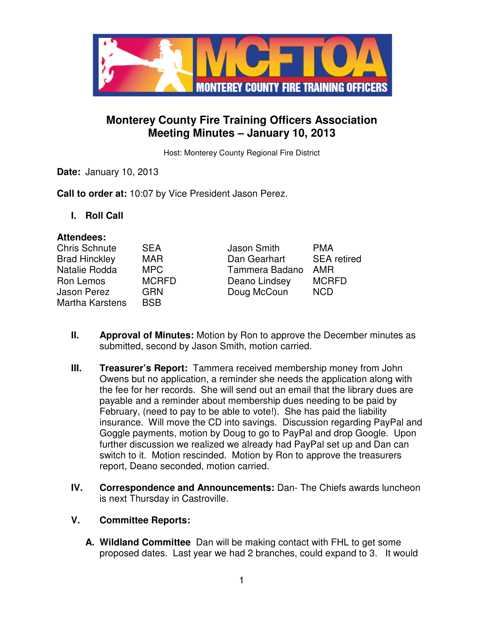

# **Monterey County Fire Training Officers Association Meeting Minutes – January 10, 2013**

Host: Monterey County Regional Fire District

**Date:** January 10, 2013

**Call to order at:** 10:07 by Vice President Jason Perez.

**I. Roll Call** 

#### **Attendees:**

| Chris Schnute        | <b>SEA</b>   | Jason Smith    | <b>PMA</b>         |
|----------------------|--------------|----------------|--------------------|
| <b>Brad Hinckley</b> | <b>MAR</b>   | Dan Gearhart   | <b>SEA</b> retired |
| Natalie Rodda        | MPC          | Tammera Badano | AMR                |
| Ron Lemos            | <b>MCRFD</b> | Deano Lindsey  | <b>MCRFD</b>       |
| Jason Perez          | <b>GRN</b>   | Doug McCoun    | <b>NCD</b>         |
| Martha Karstens      | <b>BSB</b>   |                |                    |

- **II. Approval of Minutes:** Motion by Ron to approve the December minutes as submitted, second by Jason Smith, motion carried.
- **III. Treasurer's Report:** Tammera received membership money from John Owens but no application, a reminder she needs the application along with the fee for her records. She will send out an email that the library dues are payable and a reminder about membership dues needing to be paid by February, (need to pay to be able to vote!). She has paid the liability insurance. Will move the CD into savings. Discussion regarding PayPal and Goggle payments, motion by Doug to go to PayPal and drop Google. Upon further discussion we realized we already had PayPal set up and Dan can switch to it. Motion rescinded. Motion by Ron to approve the treasurers report, Deano seconded, motion carried.
- **IV. Correspondence and Announcements:** Dan- The Chiefs awards luncheon is next Thursday in Castroville.

#### **V. Committee Reports:**

**A. Wildland Committee** Dan will be making contact with FHL to get some proposed dates. Last year we had 2 branches, could expand to 3. It would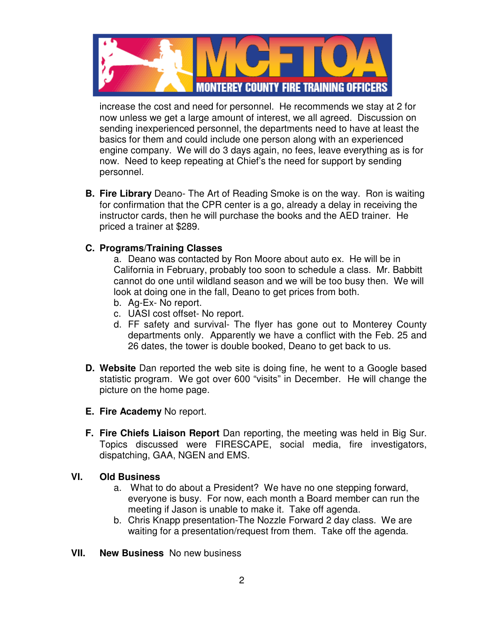

increase the cost and need for personnel. He recommends we stay at 2 for now unless we get a large amount of interest, we all agreed. Discussion on sending inexperienced personnel, the departments need to have at least the basics for them and could include one person along with an experienced engine company. We will do 3 days again, no fees, leave everything as is for now. Need to keep repeating at Chief's the need for support by sending personnel.

**B. Fire Library** Deano- The Art of Reading Smoke is on the way. Ron is waiting for confirmation that the CPR center is a go, already a delay in receiving the instructor cards, then he will purchase the books and the AED trainer. He priced a trainer at \$289.

## **C. Programs/Training Classes**

a. Deano was contacted by Ron Moore about auto ex. He will be in California in February, probably too soon to schedule a class. Mr. Babbitt cannot do one until wildland season and we will be too busy then. We will look at doing one in the fall, Deano to get prices from both.

- b. Ag-Ex- No report.
- c. UASI cost offset- No report.
- d. FF safety and survival- The flyer has gone out to Monterey County departments only. Apparently we have a conflict with the Feb. 25 and 26 dates, the tower is double booked, Deano to get back to us.
- **D. Website** Dan reported the web site is doing fine, he went to a Google based statistic program. We got over 600 "visits" in December. He will change the picture on the home page.
- **E. Fire Academy** No report.
- **F. Fire Chiefs Liaison Report** Dan reporting, the meeting was held in Big Sur. Topics discussed were FIRESCAPE, social media, fire investigators, dispatching, GAA, NGEN and EMS.

#### **VI. Old Business**

- a. What to do about a President? We have no one stepping forward, everyone is busy. For now, each month a Board member can run the meeting if Jason is unable to make it. Take off agenda.
- b. Chris Knapp presentation-The Nozzle Forward 2 day class. We are waiting for a presentation/request from them. Take off the agenda.
- **VII. New Business** No new business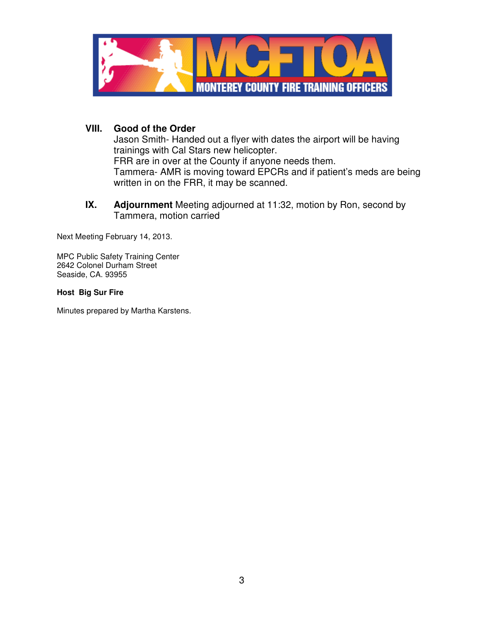

### **VIII. Good of the Order**

Jason Smith- Handed out a flyer with dates the airport will be having trainings with Cal Stars new helicopter. FRR are in over at the County if anyone needs them. Tammera- AMR is moving toward EPCRs and if patient's meds are being written in on the FRR, it may be scanned.

**IX. Adjournment** Meeting adjourned at 11:32, motion by Ron, second by Tammera, motion carried

Next Meeting February 14, 2013.

MPC Public Safety Training Center 2642 Colonel Durham Street Seaside, CA. 93955

#### **Host Big Sur Fire**

Minutes prepared by Martha Karstens.